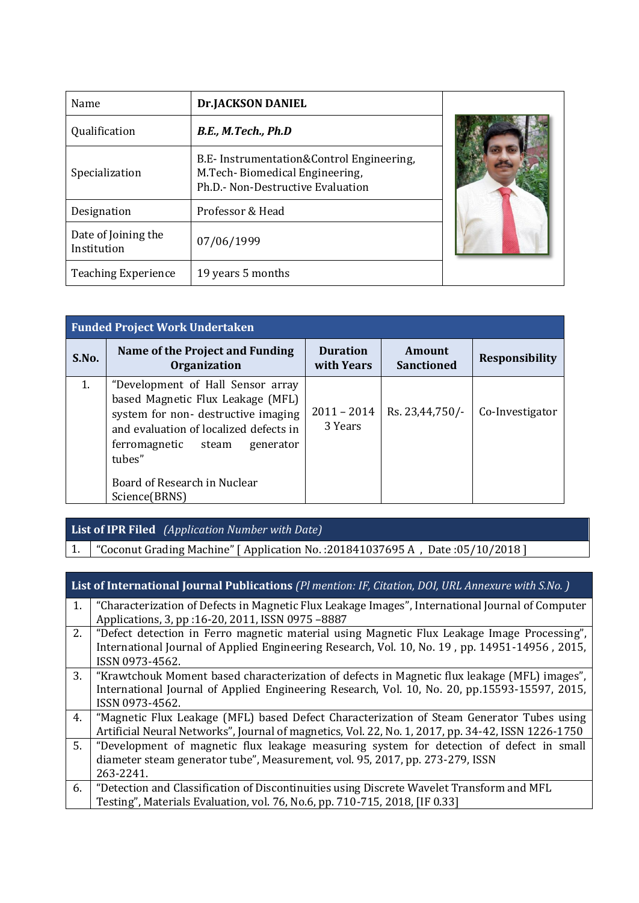| Name                               | <b>Dr.JACKSON DANIEL</b>                                                                                         |  |
|------------------------------------|------------------------------------------------------------------------------------------------------------------|--|
| Qualification                      | B.E., M.Tech., Ph.D                                                                                              |  |
| Specialization                     | B.E- Instrumentation&Control Engineering,<br>M.Tech-Biomedical Engineering,<br>Ph.D.- Non-Destructive Evaluation |  |
| Designation                        | Professor & Head                                                                                                 |  |
| Date of Joining the<br>Institution | 07/06/1999                                                                                                       |  |
| <b>Teaching Experience</b>         | 19 years 5 months                                                                                                |  |

|       | <b>Funded Project Work Undertaken</b>                                                                                                                                                                                                                     |                               |                             |                       |
|-------|-----------------------------------------------------------------------------------------------------------------------------------------------------------------------------------------------------------------------------------------------------------|-------------------------------|-----------------------------|-----------------------|
| S.No. | Name of the Project and Funding<br><b>Organization</b>                                                                                                                                                                                                    | <b>Duration</b><br>with Years | Amount<br><b>Sanctioned</b> | <b>Responsibility</b> |
| 1.    | "Development of Hall Sensor array<br>based Magnetic Flux Leakage (MFL)<br>system for non- destructive imaging<br>and evaluation of localized defects in<br>ferromagnetic<br>steam<br>generator<br>tubes"<br>Board of Research in Nuclear<br>Science(BRNS) | $2011 - 2014$<br>3 Years      | Rs. 23,44,750/-             | Co-Investigator       |

## **List of IPR Filed** *(Application Number with Date)*

1. "Coconut Grading Machine" [ Application No. :201841037695 A , Date :05/10/2018 ]

|    | <b>List of International Journal Publications (Pl mention: IF, Citation, DOI, URL Annexure with S.No.)</b> |
|----|------------------------------------------------------------------------------------------------------------|
| 1. | "Characterization of Defects in Magnetic Flux Leakage Images", International Journal of Computer           |
|    | Applications, 3, pp : 16-20, 2011, ISSN 0975-8887                                                          |
| 2. | "Defect detection in Ferro magnetic material using Magnetic Flux Leakage Image Processing",                |
|    | International Journal of Applied Engineering Research, Vol. 10, No. 19, pp. 14951-14956, 2015,             |
|    | ISSN 0973-4562.                                                                                            |
| 3. | "Krawtchouk Moment based characterization of defects in Magnetic flux leakage (MFL) images",               |
|    | International Journal of Applied Engineering Research, Vol. 10, No. 20, pp.15593-15597, 2015,              |
|    | ISSN 0973-4562.                                                                                            |
| 4. | "Magnetic Flux Leakage (MFL) based Defect Characterization of Steam Generator Tubes using                  |
|    | Artificial Neural Networks", Journal of magnetics, Vol. 22, No. 1, 2017, pp. 34-42, ISSN 1226-1750         |
| 5. | "Development of magnetic flux leakage measuring system for detection of defect in small                    |
|    | diameter steam generator tube", Measurement, vol. 95, 2017, pp. 273-279, ISSN                              |
|    | 263-2241.                                                                                                  |
| 6. | "Detection and Classification of Discontinuities using Discrete Wavelet Transform and MFL                  |
|    | Testing", Materials Evaluation, vol. 76, No.6, pp. 710-715, 2018, [IF 0.33]                                |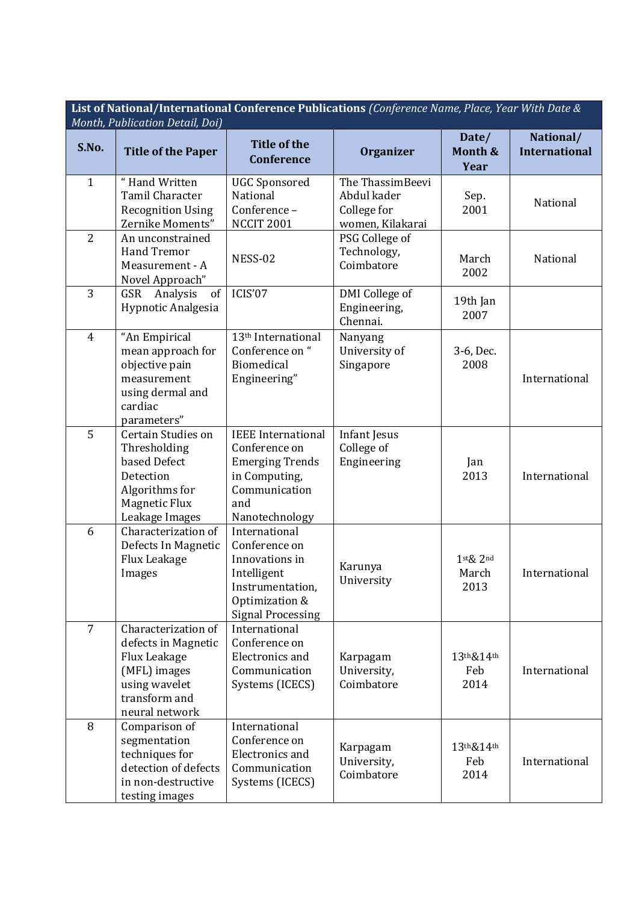|                | List of National/International Conference Publications (Conference Name, Place, Year With Date &<br>Month, Publication Detail, Doi) |                                                                                                                                   |                                                                    |                                     |                                   |
|----------------|-------------------------------------------------------------------------------------------------------------------------------------|-----------------------------------------------------------------------------------------------------------------------------------|--------------------------------------------------------------------|-------------------------------------|-----------------------------------|
| S.No.          | <b>Title of the Paper</b>                                                                                                           | <b>Title of the</b><br><b>Conference</b>                                                                                          | <b>Organizer</b>                                                   | Date/<br>Month &<br>Year            | National/<br><b>International</b> |
| $\mathbf{1}$   | "Hand Written<br>Tamil Character<br><b>Recognition Using</b><br>Zernike Moments"                                                    | <b>UGC Sponsored</b><br>National<br>Conference-<br><b>NCCIT 2001</b>                                                              | The ThassimBeevi<br>Abdul kader<br>College for<br>women, Kilakarai | Sep.<br>2001                        | National                          |
| $\overline{2}$ | An unconstrained<br><b>Hand Tremor</b><br>Measurement - A<br>Novel Approach"                                                        | NESS-02                                                                                                                           | PSG College of<br>Technology,<br>Coimbatore                        | March<br>2002                       | National                          |
| 3              | Analysis<br>GSR<br>of<br>Hypnotic Analgesia                                                                                         | ICIS'07                                                                                                                           | DMI College of<br>Engineering,<br>Chennai.                         | 19th Jan<br>2007                    |                                   |
| $\overline{4}$ | "An Empirical<br>mean approach for<br>objective pain<br>measurement<br>using dermal and<br>cardiac<br>parameters"                   | 13 <sup>th</sup> International<br>Conference on "<br>Biomedical<br>Engineering"                                                   | Nanyang<br>University of<br>Singapore                              | 3-6, Dec.<br>2008                   | International                     |
| 5              | Certain Studies on<br>Thresholding<br>based Defect<br>Detection<br>Algorithms for<br><b>Magnetic Flux</b><br>Leakage Images         | <b>IEEE</b> International<br>Conference on<br><b>Emerging Trends</b><br>in Computing,<br>Communication<br>and<br>Nanotechnology   | Infant Jesus<br>College of<br>Engineering                          | Jan<br>2013                         | International                     |
| 6              | Characterization of<br>Defects In Magnetic<br><b>Flux Leakage</b><br>Images                                                         | International<br>Conference on<br>Innovations in<br>Intelligent<br>Instrumentation,<br>Optimization &<br><b>Signal Processing</b> | Karunya<br>University                                              | $1$ st $\&$ $2$ nd<br>March<br>2013 | International                     |
| $\overline{7}$ | Characterization of<br>defects in Magnetic<br>Flux Leakage<br>(MFL) images<br>using wavelet<br>transform and<br>neural network      | International<br>Conference on<br><b>Electronics and</b><br>Communication<br>Systems (ICECS)                                      | Karpagam<br>University,<br>Coimbatore                              | 13th&14th<br>Feb<br>2014            | International                     |
| 8              | Comparison of<br>segmentation<br>techniques for<br>detection of defects<br>in non-destructive<br>testing images                     | International<br>Conference on<br>Electronics and<br>Communication<br>Systems (ICECS)                                             | Karpagam<br>University,<br>Coimbatore                              | 13th&14th<br>Feb<br>2014            | International                     |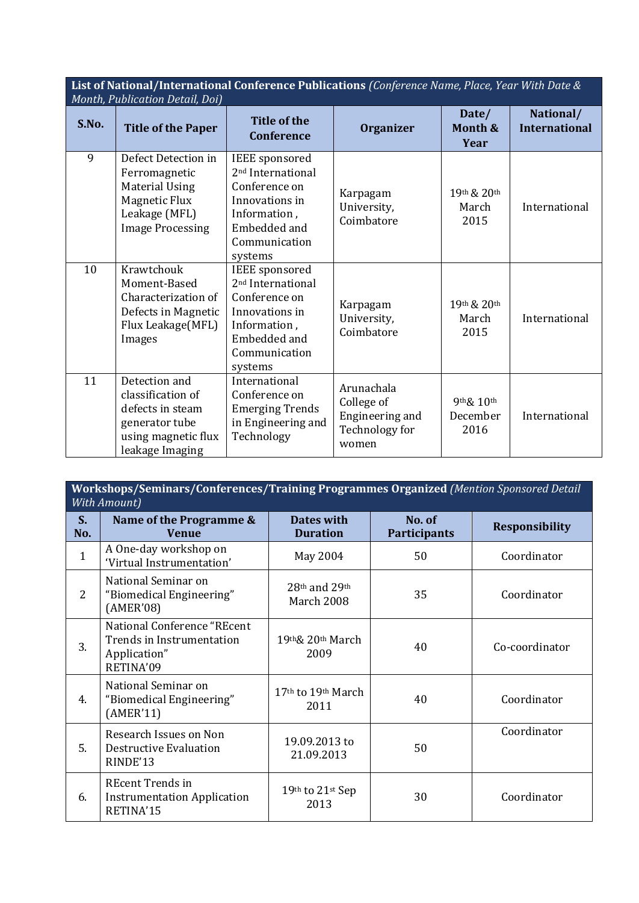**List of National/International Conference Publications** *(Conference Name, Place, Year With Date & Month, Publication Detail, Doi)*

| S.No. | <b>Title of the Paper</b>                                                                                                         | <b>Title of the</b><br><b>Conference</b>                                                                                                              | <b>Organizer</b>                                                       | Date/<br>Month &<br>Year         | National/<br><b>International</b> |
|-------|-----------------------------------------------------------------------------------------------------------------------------------|-------------------------------------------------------------------------------------------------------------------------------------------------------|------------------------------------------------------------------------|----------------------------------|-----------------------------------|
| 9     | Defect Detection in<br>Ferromagnetic<br><b>Material Using</b><br><b>Magnetic Flux</b><br>Leakage (MFL)<br><b>Image Processing</b> | <b>IEEE</b> sponsored<br>2 <sup>nd</sup> International<br>Conference on<br>Innovations in<br>Information,<br>Embedded and<br>Communication<br>systems | Karpagam<br>University,<br>Coimbatore                                  | 19th & 20th<br>March<br>2015     | International                     |
| 10    | Krawtchouk<br>Moment-Based<br>Characterization of<br>Defects in Magnetic<br>Flux Leakage(MFL)<br>Images                           | <b>IEEE</b> sponsored<br>2 <sup>nd</sup> International<br>Conference on<br>Innovations in<br>Information,<br>Embedded and<br>Communication<br>systems | Karpagam<br>University,<br>Coimbatore                                  | 19th & 20th<br>March<br>2015     | International                     |
| 11    | Detection and<br>classification of<br>defects in steam<br>generator tube<br>using magnetic flux<br>leakage Imaging                | International<br>Conference on<br><b>Emerging Trends</b><br>in Engineering and<br>Technology                                                          | Arunachala<br>College of<br>Engineering and<br>Technology for<br>women | $9th\& 10th$<br>December<br>2016 | International                     |

**Workshops/Seminars/Conferences/Training Programmes Organized** *(Mention Sponsored Detail With Amount)*

| $S_{-}$<br>No. | Name of the Programme &<br><b>Venue</b>                                                | <b>Dates with</b><br><b>Duration</b> | No. of<br><b>Participants</b> | <b>Responsibility</b> |
|----------------|----------------------------------------------------------------------------------------|--------------------------------------|-------------------------------|-----------------------|
| $\mathbf{1}$   | A One-day workshop on<br>'Virtual Instrumentation'                                     | May 2004                             | 50                            | Coordinator           |
| 2              | National Seminar on<br>"Biomedical Engineering"<br>(AMER'08)                           | $28th$ and $29th$<br>March 2008      | 35                            | Coordinator           |
| 3.             | National Conference "REcent"<br>Trends in Instrumentation<br>Application"<br>RETINA'09 | 19th& 20th March<br>2009             | 40                            | Co-coordinator        |
| 4.             | National Seminar on<br>"Biomedical Engineering"<br>(AMER'11)                           | 17th to 19th March<br>2011           | 40                            | Coordinator           |
| 5.             | Research Issues on Non<br><b>Destructive Evaluation</b><br>RINDE'13                    | 19.09.2013 to<br>21.09.2013          | 50                            | Coordinator           |
| 6.             | <b>REcent Trends in</b><br><b>Instrumentation Application</b><br>RETINA'15             | 19th to 21st Sep<br>2013             | 30                            | Coordinator           |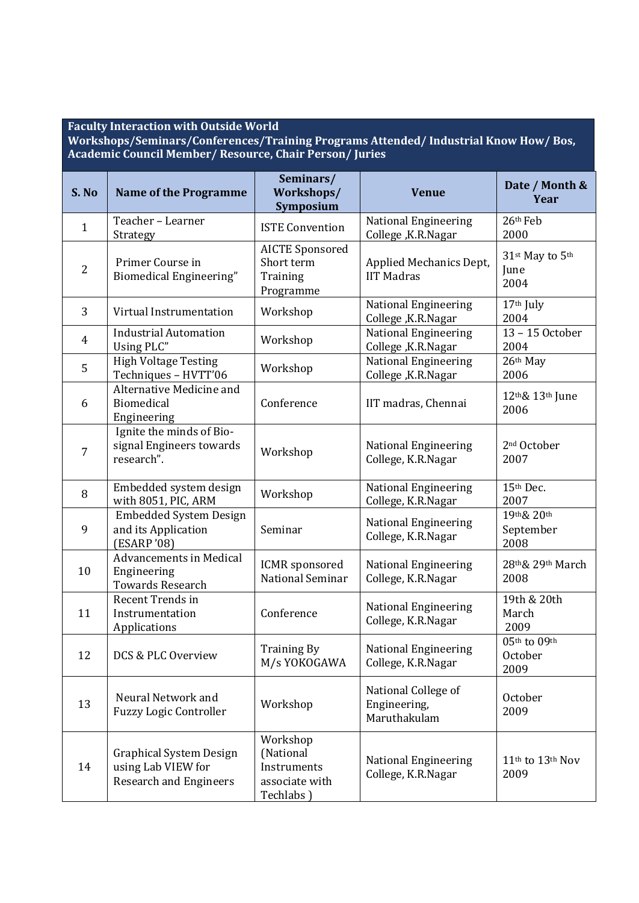## **Faculty Interaction with Outside World**

**Workshops/Seminars/Conferences/Training Programs Attended/ Industrial Know How/ Bos, Academic Council Member/ Resource, Chair Person/ Juries** 

| S. No          | <b>Name of the Programme</b>                                                          | Seminars/<br>Workshops/<br>Symposium                                | <b>Venue</b>                                        | Date / Month &<br>Year                           |
|----------------|---------------------------------------------------------------------------------------|---------------------------------------------------------------------|-----------------------------------------------------|--------------------------------------------------|
| $\mathbf{1}$   | Teacher - Learner<br>Strategy                                                         | <b>ISTE Convention</b>                                              | <b>National Engineering</b><br>College, K.R.Nagar   | 26th Feb<br>2000                                 |
| $\overline{2}$ | Primer Course in<br>Biomedical Engineering"                                           | <b>AICTE Sponsored</b><br>Short term<br>Training<br>Programme       | Applied Mechanics Dept,<br><b>IIT Madras</b>        | 31st May to 5th<br>June<br>2004                  |
| 3              | Virtual Instrumentation                                                               | Workshop                                                            | <b>National Engineering</b><br>College, K.R.Nagar   | 17th July<br>2004                                |
| $\overline{4}$ | <b>Industrial Automation</b><br>Using PLC"                                            | Workshop                                                            | National Engineering<br>College, K.R.Nagar          | 13-15 October<br>2004                            |
| 5              | <b>High Voltage Testing</b><br>Techniques - HVTT'06                                   | Workshop                                                            | <b>National Engineering</b><br>College, K.R.Nagar   | 26th May<br>2006                                 |
| 6              | Alternative Medicine and<br>Biomedical<br>Engineering                                 | Conference                                                          | IIT madras, Chennai                                 | 12th& 13th June<br>2006                          |
| 7              | Ignite the minds of Bio-<br>signal Engineers towards<br>research".                    | Workshop                                                            | <b>National Engineering</b><br>College, K.R.Nagar   | 2 <sup>nd</sup> October<br>2007                  |
| 8              | Embedded system design<br>with 8051, PIC, ARM                                         | Workshop                                                            | <b>National Engineering</b><br>College, K.R.Nagar   | 15th Dec.<br>2007                                |
| 9              | <b>Embedded System Design</b><br>and its Application<br>(ESARP '08)                   | Seminar                                                             | <b>National Engineering</b><br>College, K.R.Nagar   | 19th& 20th<br>September<br>2008                  |
| 10             | <b>Advancements in Medical</b><br>Engineering<br><b>Towards Research</b>              | <b>ICMR</b> sponsored<br><b>National Seminar</b>                    | <b>National Engineering</b><br>College, K.R.Nagar   | 28th& 29th March<br>2008                         |
| 11             | Recent Trends in<br>Instrumentation<br>Applications                                   | Conference                                                          | <b>National Engineering</b><br>College, K.R.Nagar   | 19th & 20th<br>March<br>2009                     |
| 12             | DCS & PLC Overview                                                                    | <b>Training By</b><br>M/s YOKOGAWA                                  | <b>National Engineering</b><br>College, K.R.Nagar   | 05th to 09th<br>October<br>2009                  |
| 13             | Neural Network and<br><b>Fuzzy Logic Controller</b>                                   | Workshop                                                            | National College of<br>Engineering,<br>Maruthakulam | October<br>2009                                  |
| 14             | <b>Graphical System Design</b><br>using Lab VIEW for<br><b>Research and Engineers</b> | Workshop<br>(National<br>Instruments<br>associate with<br>Techlabs) | <b>National Engineering</b><br>College, K.R.Nagar   | 11 <sup>th</sup> to 13 <sup>th</sup> Nov<br>2009 |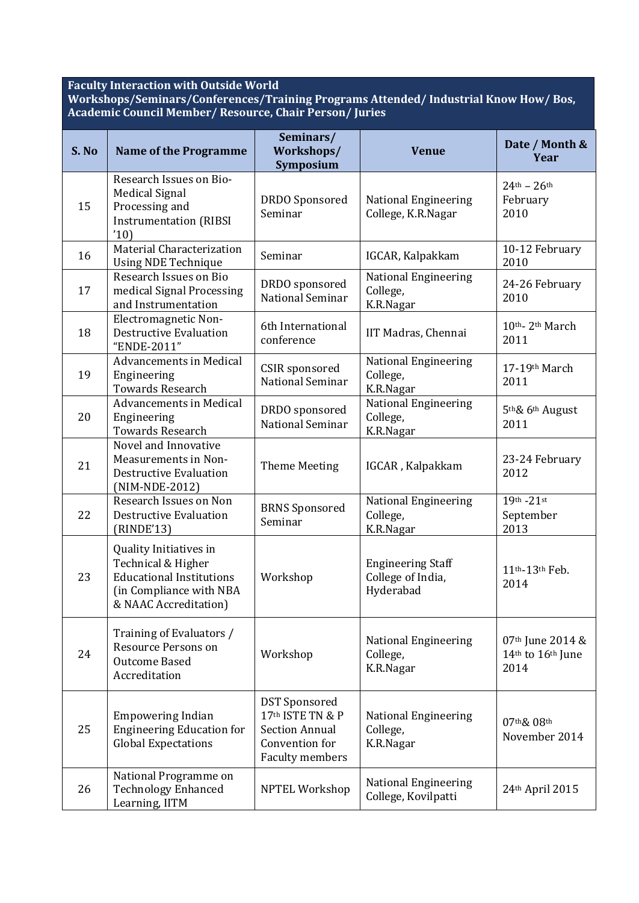## **Faculty Interaction with Outside World**

**Workshops/Seminars/Conferences/Training Programs Attended/ Industrial Know How/ Bos, Academic Council Member/ Resource, Chair Person/ Juries** 

| S. No | <b>Name of the Programme</b>                                                                                                        | Seminars/<br>Workshops/<br>Symposium                                                                          | <b>Venue</b>                                               | Date / Month &<br>Year                           |
|-------|-------------------------------------------------------------------------------------------------------------------------------------|---------------------------------------------------------------------------------------------------------------|------------------------------------------------------------|--------------------------------------------------|
| 15    | Research Issues on Bio-<br><b>Medical Signal</b><br>Processing and<br><b>Instrumentation (RIBSI</b><br>'10)                         | <b>DRDO</b> Sponsored<br>Seminar                                                                              | <b>National Engineering</b><br>College, K.R.Nagar          | $24^{th} - 26^{th}$<br>February<br>2010          |
| 16    | <b>Material Characterization</b><br><b>Using NDE Technique</b>                                                                      | Seminar                                                                                                       | IGCAR, Kalpakkam                                           | 10-12 February<br>2010                           |
| 17    | Research Issues on Bio<br>medical Signal Processing<br>and Instrumentation                                                          | DRDO sponsored<br>National Seminar                                                                            | National Engineering<br>College,<br>K.R.Nagar              | 24-26 February<br>2010                           |
| 18    | Electromagnetic Non-<br><b>Destructive Evaluation</b><br>"ENDE-2011"                                                                | 6th International<br>conference                                                                               | IIT Madras, Chennai                                        | 10th-2th March<br>2011                           |
| 19    | <b>Advancements in Medical</b><br>Engineering<br><b>Towards Research</b>                                                            | CSIR sponsored<br>National Seminar                                                                            | <b>National Engineering</b><br>College,<br>K.R.Nagar       | 17-19th March<br>2011                            |
| 20    | <b>Advancements in Medical</b><br>Engineering<br><b>Towards Research</b>                                                            | DRDO sponsored<br>National Seminar                                                                            | <b>National Engineering</b><br>College,<br>K.R.Nagar       | 5 <sup>th</sup> & 6 <sup>th</sup> August<br>2011 |
| 21    | Novel and Innovative<br>Measurements in Non-<br><b>Destructive Evaluation</b><br>(NIM-NDE-2012)                                     | <b>Theme Meeting</b>                                                                                          | IGCAR, Kalpakkam                                           | 23-24 February<br>2012                           |
| 22    | Research Issues on Non<br><b>Destructive Evaluation</b><br>(RINDE'13)                                                               | <b>BRNS</b> Sponsored<br>Seminar                                                                              | <b>National Engineering</b><br>College,<br>K.R.Nagar       | $19^{th} - 21^{st}$<br>September<br>2013         |
| 23    | Quality Initiatives in<br>Technical & Higher<br><b>Educational Institutions</b><br>(in Compliance with NBA<br>& NAAC Accreditation) | Workshop                                                                                                      | <b>Engineering Staff</b><br>College of India,<br>Hyderabad | 11th-13th Feb.<br>2014                           |
| 24    | Training of Evaluators /<br>Resource Persons on<br><b>Outcome Based</b><br>Accreditation                                            | Workshop                                                                                                      | <b>National Engineering</b><br>College,<br>K.R.Nagar       | 07th June 2014 &<br>14th to 16th June<br>2014    |
| 25    | <b>Empowering Indian</b><br><b>Engineering Education for</b><br><b>Global Expectations</b>                                          | <b>DST</b> Sponsored<br>17th ISTE TN & P<br><b>Section Annual</b><br>Convention for<br><b>Faculty members</b> | <b>National Engineering</b><br>College,<br>K.R.Nagar       | 07th& 08th<br>November 2014                      |
| 26    | National Programme on<br><b>Technology Enhanced</b><br>Learning, IITM                                                               | <b>NPTEL Workshop</b>                                                                                         | National Engineering<br>College, Kovilpatti                | 24th April 2015                                  |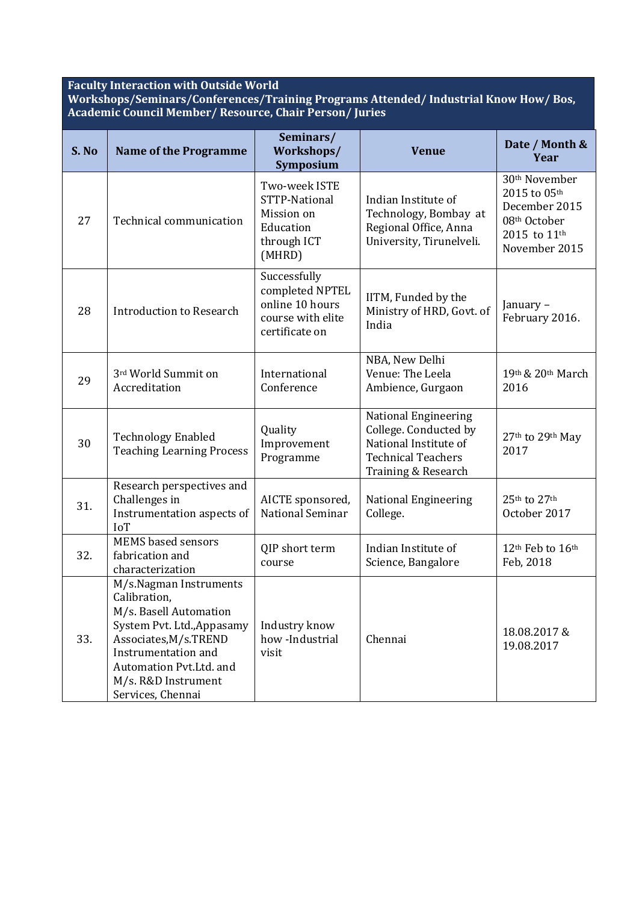## **Faculty Interaction with Outside World**

**Workshops/Seminars/Conferences/Training Programs Attended/ Industrial Know How/ Bos, Academic Council Member/ Resource, Chair Person/ Juries** 

| S. No | <b>Name of the Programme</b>                                                                                                                                                                                          | Seminars/<br>Workshops/<br>Symposium                                                      | <b>Venue</b>                                                                                                                      | Date / Month &<br>Year                                                                                      |
|-------|-----------------------------------------------------------------------------------------------------------------------------------------------------------------------------------------------------------------------|-------------------------------------------------------------------------------------------|-----------------------------------------------------------------------------------------------------------------------------------|-------------------------------------------------------------------------------------------------------------|
| 27    | Technical communication                                                                                                                                                                                               | Two-week ISTE<br>STTP-National<br>Mission on<br>Education<br>through ICT<br>(MHRD)        | Indian Institute of<br>Technology, Bombay at<br>Regional Office, Anna<br>University, Tirunelveli.                                 | 30 <sup>th</sup> November<br>2015 to 05th<br>December 2015<br>08th October<br>2015 to 11th<br>November 2015 |
| 28    | <b>Introduction to Research</b>                                                                                                                                                                                       | Successfully<br>completed NPTEL<br>online 10 hours<br>course with elite<br>certificate on | IITM, Funded by the<br>Ministry of HRD, Govt. of<br>India                                                                         | January-<br>February 2016.                                                                                  |
| 29    | 3rd World Summit on<br>Accreditation                                                                                                                                                                                  | International<br>Conference                                                               | NBA, New Delhi<br>Venue: The Leela<br>Ambience, Gurgaon                                                                           | 19th & 20th March<br>2016                                                                                   |
| 30    | <b>Technology Enabled</b><br><b>Teaching Learning Process</b>                                                                                                                                                         | Quality<br>Improvement<br>Programme                                                       | <b>National Engineering</b><br>College. Conducted by<br>National Institute of<br><b>Technical Teachers</b><br>Training & Research | 27th to 29th May<br>2017                                                                                    |
| 31.   | Research perspectives and<br>Challenges in<br>Instrumentation aspects of<br><b>IoT</b>                                                                                                                                | AICTE sponsored,<br>National Seminar                                                      | <b>National Engineering</b><br>College.                                                                                           | 25th to 27th<br>October 2017                                                                                |
| 32.   | <b>MEMS</b> based sensors<br>fabrication and<br>characterization                                                                                                                                                      | QIP short term<br>course                                                                  | Indian Institute of<br>Science, Bangalore                                                                                         | 12th Feb to 16th<br>Feb, 2018                                                                               |
| 33.   | M/s.Nagman Instruments<br>Calibration,<br>M/s. Basell Automation<br>System Pvt. Ltd., Appasamy<br>Associates, M/s.TREND<br>Instrumentation and<br>Automation Pvt.Ltd. and<br>M/s. R&D Instrument<br>Services, Chennai | Industry know<br>how-Industrial<br>visit                                                  | Chennai                                                                                                                           | 18.08.2017&<br>19.08.2017                                                                                   |